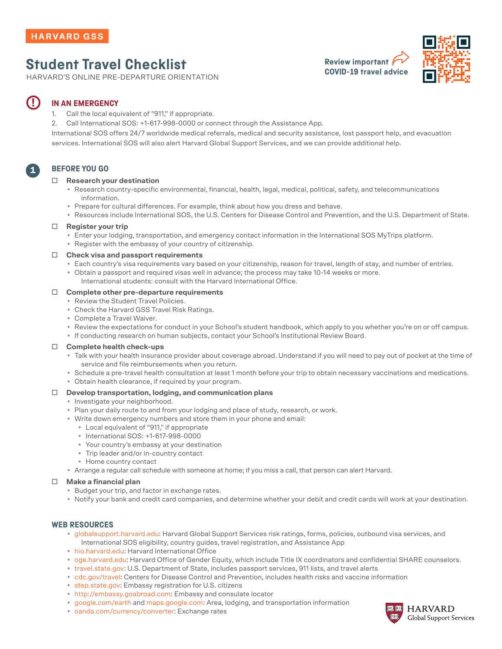# **Student Travel Checklist**

HARVARD'S ONLINE PRE-DEPARTURE ORIENTATION





#### **IN AN EMERGENCY !**

- 1. Call the local equivalent of "911," if appropriate.
- 2. Call International SOS: +1-617-998-0000 or connect through the Assistance App.

International SOS offers 24/7 worldwide medical referrals, medical and security assistance, lost passport help, and evacuation services. International SOS will also alert Harvard Global Support Services, and we can provide additional help.

## **BEFORE YOU GO**

1

#### **□ Research your destination**

- Research country-specific environmental, financial, health, legal, medical, political, safety, and telecommunications information.
- Prepare for cultural differences. For example, think about how you dress and behave.
- Resources include International SOS, the U.S. Centers for Disease Control and Prevention, and the U.S. Department of State.

#### **□ Register your trip**

- Enter your lodging, transportation, and emergency contact information in the International SOS MyTrips platform.
- Register with the embassy of your country of citizenship.

#### **□ Check visa and passport requirements**

- Each country's visa requirements vary based on your citizenship, reason for travel, length of stay, and number of entries. • Obtain a passport and required visas well in advance; the process may take 10-14 weeks or more.
	- International students: consult with the Harvard International Office.

#### **□ Complete other pre-departure requirements**

- Review the Student Travel Policies.
- Check the Harvard GSS Travel Risk Ratings.
- Complete a Travel Waiver.
- Review the expectations for conduct in your School's student handbook, which apply to you whether you're on or off campus.
- If conducting research on human subjects, contact your School's Institutional Review Board.

#### **□ Complete health check-ups**

- Talk with your health insurance provider about coverage abroad. Understand if you will need to pay out of pocket at the time of service and file reimbursements when you return.
- Schedule a pre-travel health consultation at least 1 month before your trip to obtain necessary vaccinations and medications.
- Obtain health clearance, if required by your program.

#### **□ Develop transportation, lodging, and communication plans**

- Investigate your neighborhood.
- Plan your daily route to and from your lodging and place of study, research, or work.
- Write down emergency numbers and store them in your phone and email:
	- Local equivalent of "911," if appropriate
	- International SOS: +1-617-998-0000
	- Your country's embassy at your destination
	- Trip leader and/or in-country contact
- Home country contact
- Arrange a regular call schedule with someone at home; if you miss a call, that person can alert Harvard.
- **□ Make a financial plan**
	- Budget your trip, and factor in exchange rates.
	- Notify your bank and credit card companies, and determine whether your debit and credit cards will work at your destination.

### **WEB RESOURCES**

- globalsupport[.harvard.edu:](https://www.globalsupport.harvard.edu) Harvard Global Support Services risk ratings, forms, policies, outbound visa services, and International SOS eligibility, country guides, travel registration, and Assistance App
- [hio.harvard.edu:](http://hio.harvard.edu/) Harvard International Office
- [oge.harvard.edu](http://oge.harvard.edu/)[:](http://hio.harvard.edu/) Harvard Office of Gender Equity, which include Title IX coordinators and confidential SHARE counselors.
- [travel.state.gov](http://travel.state.gov): U.S. Department of State, includes passport services, 911 lists, and travel alerts
- [cdc.gov/travel:](http://wwwnc.cdc.gov/travel) Centers for Disease Control and Prevention, includes health risks and vaccine information
- [step.state.gov:](https://step.state.gov) Embassy registration for U.S. citizens
- [http://embassy.goabroad.com](http://embassy.goabroad.com/): Embassy and consulate locator
- [google.com/earth](http://google.com/earth) and [maps.google.com:](http://maps.google.com) Area, lodging, and transportation information
- [oanda.com/currency/converter](http://www.oanda.com/currency/converter/): Exchange rates